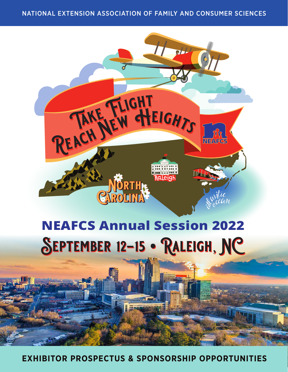NATIONAL EXTENSION ASSOCIATION OF FAMILY AND CONSUMER SCIENCES



**EXHIBITOR PROSPECTUS & SPONSORSHIP OPPORTUNITIES**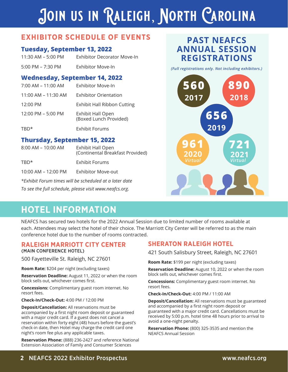# **Join us in Raleigh, North Carolina**

## **EXHIBITOR SCHEDULE OF EVENTS**

### **Tuesday, September 13, 2022**

| 11:30 AM – 5:00 PM | Exhibitor Decorator Move-In |
|--------------------|-----------------------------|
| 5:00 PM – 7:30 PM  | Exhibitor Move-In           |

### **Wednesday, September 14, 2022**

| 7:00 AM - 11:00 AM  | <b>Exhibitor Move-In</b>                           |
|---------------------|----------------------------------------------------|
| 11:00 AM – 11:30 AM | Exhibitor Orientation                              |
| 12:00 PM            | <b>Exhibit Hall Ribbon Cutting</b>                 |
| 12:00 PM - 5:00 PM  | <b>Exhibit Hall Open</b><br>(Boxed Lunch Provided) |
| TRD*                | <b>Exhibit Forums</b>                              |

### **Thursday, September 15, 2022**

| $8:00$ AM – 10:00 AM | Exhibit Hall Open<br>(Continental Breakfast Provided) |
|----------------------|-------------------------------------------------------|
| TRD <sup>*</sup>     | Exhibit Forums                                        |

10:00 AM – 12:00 PM Exhibitor Move-out

*\*Exhibit Forum times will be scheduled at a later date To see the full schedule, please visit www.neafcs.org.* 

## **PAST NEAFCS ANNUAL SESSION REGISTRATIONS**

*(Full registrations only. Not including exhibitors.)*



## **HOTEL INFORMATION**

NEAFCS has secured two hotels for the 2022 Annual Session due to limited number of rooms available at each. Attendees may select the hotel of their choice. The Marriott City Center will be referred to as the main conference hotel due to the number of rooms contracted.

#### **RALEIGH MARRIOTT CITY CENTER**  (MAIN CONFERENCE HOTEL)

500 Fayetteville St. Raleigh, NC 27601

**Room Rate:** \$204 per night (excluding taxes)

**Reservation Deadline:** August 11, 2022 or when the room block sells out, whichever comes first.

**Concessions:** Complimentary guest room internet. No resort fees.

**Check-In/Check-Out:** 4:00 PM / 12:00 PM

**Deposit/Cancellation:** All reservations must be accompanied by a first night room deposit or guaranteed with a major credit card. If a guest does not cancel a reservation within forty eight (48) hours before the guest's check-in date, then Hotel may charge the credit card one night's room fee plus any applicable taxes.

**Reservation Phone:** (888) 236-2427 and reference National Extension Association of Family and Consumer Sciences

### **SHERATON RALEIGH HOTEL**

421 South Salisbury Street, Raleigh, NC 27601

**Room Rate:** \$199 per night (excluding taxes)

**Reservation Deadline:** August 10, 2022 or when the room block sells out, whichever comes first.

**Concessions:** Complimentary guest room internet. No resort fees.

**Check-In/Check-Out:** 4:00 PM / 11:00 AM

**Deposit/Cancellation:** All reservations must be guaranteed and accompanied by a first night room deposit or guaranteed with a major credit card. Cancellations must be received by 5:00 p.m. hotel time 48 hours prior to arrival to avoid a one-night penalty.

**Reservation Phone:** (800) 325-3535 and mention the NEAFCS Annual Session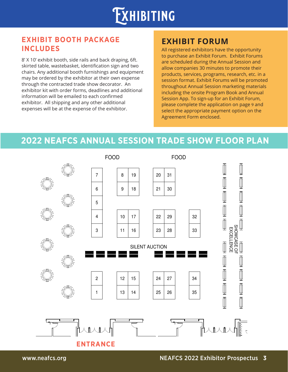

## **EXHIBIT BOOTH PACKAGE INCLUDES**

8' X 10' exhibit booth, side rails and back draping, 6ft. skirted table, wastebasket, identification sign and two chairs. Any additional booth furnishings and equipment may be ordered by the exhibitor at their own expense through the contracted trade show decorator. An exhibitor kit with order forms, deadlines and additional information will be emailed to each confirmed exhibitor. All shipping and any other additional expenses will be at the expense of the exhibitor.

## **EXHIBIT FORUM**

All registered exhibitors have the opportunity to purchase an Exhibit Forum. Exhibit Forums are scheduled during the Annual Session and allow companies 30 minutes to promote their products, services, programs, research, etc. in a session format. Exhibit Forums will be promoted throughout Annual Session marketing materials including the onsite Program Book and Annual Session App. To sign-up for an Exhibit Forum, please complete the application on page 9 and select the appropriate payment option on the Agreement Form enclosed.

HOUSE

## **2022 NEAFCS ANNUAL SESSION TRADE SHOW FLOOR PLAN**



 $\frac{1}{5}$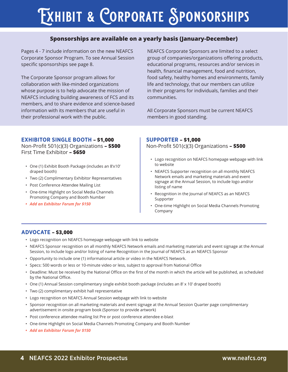# **Exhibit & Corporate Sponsorships**

#### **Sponsorships are available on a yearly basis (January-December)**

Pages 4 - 7 include information on the new NEAFCS Corporate Sponsor Program. To see Annual Session specific sponsorships see page 8.

The Corporate Sponsor program allows for collaboration with like-minded organizations whose purpose is to help advocate the mission of NEAFCS including building awareness of FCS and its members, and to share evidence and science-based information with its members that are useful in their professional work with the public.

NEAFCS Corporate Sponsors are limited to a select group of companies/organizations offering products, educational programs, resources and/or services in health, financial management, food and nutrition, food safety, healthy homes and environments, family life and technology, that our members can utilize in their programs for individuals, families and their communities.

All Corporate Sponsors must be current NEAFCS members in good standing.

#### **EXHIBITOR SINGLE BOOTH – \$1,000**

Non-Profit 501(c)(3) Organizations **– \$500**  First Time Exhibitor **– \$650**

- One (1) Exhibit Booth Package (includes an 8'x10' draped booth)
- Two (2) Complimentary Exhibitor Representatives
- Post Conference Attendee Mailing List
- One-time Highlight on Social Media Channels Promoting Company and Booth Number
- *• Add an Exhibitor Forum for \$150*

#### **SUPPORTER – \$1,000**

Non-Profit 501(c)(3) Organizations **– \$500**

- Logo recognition on NEAFCS homepage webpage with link to website
- NEAFCS Supporter recognition on all monthly NEAFCS Network emails and marketing materials and event signage at the Annual Session, to include logo and/or listing of name
- Recognition in the Journal of NEAFCS as an NEAFCS Supporter
- One-time Highlight on Social Media Channels Promoting Company

#### **ADVOCATE – \$3,000**

- Logo recognition on NEAFCS homepage webpage with link to website
- NEAFCS Sponsor recognition on all monthly NEAFCS Network emails and marketing materials and event signage at the Annual Session, to include logo and/or listing of name Recognition in the Journal of NEAFCS as an NEAFCS Sponsor
- Opportunity to include one (1) informational article or video in the NEAFCS Network.
- Specs: 500 words or less or 10-minute video or less, subject to approval from National Office
- Deadline: Must be received by the National Office on the first of the month in which the article will be published, as scheduled by the National Office.
- One (1) Annual Session complimentary single exhibit booth package (includes an 8' x 10' draped booth)
- Two (2) complimentary exhibit hall representative
- Logo recognition on NEAFCS Annual Session webpage with link to website
- Sponsor recognition on all marketing materials and event signage at the Annual Session Quarter page complimentary advertisement in onsite program book (Sponsor to provide artwork)
- Post conference attendee mailing list Pre or post conference attendee e-blast
- One-time Highlight on Social Media Channels Promoting Company and Booth Number
- *• Add an Exhibitor Forum for \$150*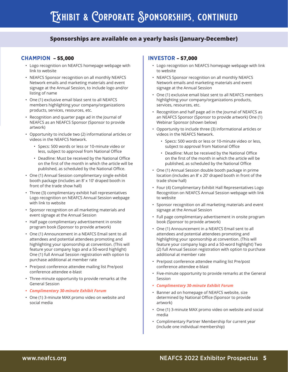#### **Sponsorships are available on a yearly basis (January-December)**

#### **CHAMPION – \$5,000**

- Logo recognition on NEAFCS homepage webpage with link to website
- NEAFCS Sponsor recognition on all monthly NEAFCS Network emails and marketing materials and event signage at the Annual Session, to include logo and/or listing of name
- One (1) exclusive email blast sent to all NEAFCS members highlighting your company/organizations products, services, resources, etc.
- Recognition and quarter page ad in the Journal of NEAFCS as an NEAFCS Sponsor (Sponsor to provide artwork)
- Opportunity to include two (2) informational articles or videos in the NEAFCS Network.
	- Specs: 500 words or less or 10-minute video or less, subject to approval from National Office
	- Deadline: Must be received by the National Office on the first of the month in which the article will be published, as scheduled by the National Office.
- One (1) Annual Session complimentary single exhibit booth package (includes an 8' x 10' draped booth in front of the trade show hall)
- Three (3) complimentary exhibit hall representatives Logo recognition on NEAFCS Annual Session webpage with link to website
- Sponsor recognition on all marketing materials and event signage at the Annual Session
- Half page complimentary advertisement in onsite program book (Sponsor to provide artwork)
- One (1) Announcement in a NEAFCS Email sent to all attendees and potential attendees promoting and highlighting your sponsorship at convention. (This will feature your company logo and a 50-word highlight) One (1) full Annual Session registration with option to purchase additional at member rate
- Pre/post conference attendee mailing list Pre/post conference attendee e-blast
- Three-minute opportunity to provide remarks at the General Session
- *• Complimentary 30-minute Exhibit Forum*
- One (1) 3-minute MAX promo video on website and social media

#### **INVESTOR – \$7,000**

- Logo recognition on NEAFCS homepage webpage with link to website
- NEAFCS Sponsor recognition on all monthly NEAFCS Network emails and marketing materials and event signage at the Annual Session
- One (1) exclusive email blast sent to all NEAFCS members highlighting your company/organizations products, services, resources, etc.
- Recognition and half page ad in the Journal of NEAFCS as an NEAFCS Sponsor (Sponsor to provide artwork) One (1) Webinar Sponsor (shown below)
- Opportunity to include three (3) informational articles or videos in the NEAFCS Network.
	- Specs: 500 words or less or 10-minute video or less, subject to approval from National Office
	- Deadline: Must be received by the National Office on the first of the month in which the article will be published, as scheduled by the National Office
- One (1) Annual Session double booth package in prime location (includes an 8' x 20' draped booth in front of the trade show hall)
- Four (4) Complimentary Exhibit Hall Representatives Logo Recognition on NEAFCS Annual Session webpage with link to website
- Sponsor recognition on all marketing materials and event signage at the Annual Session
- Full page complimentary advertisement in onsite program book (Sponsor to provide artwork)
- One (1) Announcement in a NEAFCS Email sent to all attendees and potential attendees promoting and highlighting your sponsorship at convention. (This will feature your company logo and a 50-word highlight) Two (2) full Annual Session registration with option to purchase additional at member rate
- Pre/post conference attendee mailing list Pre/post conference attendee e-blast
- Five-minute opportunity to provide remarks at the General Session
- *• Complimentary 30-minute Exhibit Forum*
- Banner ad on homepage of NEAFCS website, size determined by National Office (Sponsor to provide artwork)
- One (1) 3-minute MAX promo video on website and social media
- Complimentary Partner Membership for current year (include one individual membership)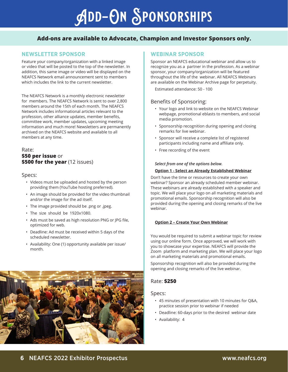# **Add-On Sponsorships**

#### **Add-ons are available to Advocate, Champion and Investor Sponsors only.**

#### **NEWSLETTER SPONSOR**

Feature your company/organization with a linked image or video that will be posted to the top of the newsletter. In addition, this same image or video will be displayed on the NEAFCS Network email announcement sent to members which includes the link to the current newsletter.

The NEAFCS Network is a monthly electronic newsletter for members. The NEAFCS Network is sent to over 2,800 members around the 15th of each month. The NEAFCS Network includes informational articles relevant to the profession, other alliance updates, member benefits, committee work, member updates, upcoming meeting information and much more! Newsletters are permanently archived on the NEAFCS website and available to all members at any time.

#### Rate: **\$50 per issue** or **\$500 for the year** (12 issues)

#### Specs:

- Videos must be uploaded and hosted by the person providing them (YouTube hosting preferred).
- An image should be provided for the video thumbnail and/or the image for the ad itself.
- The image provided should be .png or .jpeg.
- The size should be 1920x1080.
- Ads must be saved as high resolution PNG or JPG file, optimized for web.
- Deadline: Ad must be received within 5 days of the scheduled newsletter.
- Availability: One (1) opportunity available per issue/ month.



#### **WEBINAR SPONSOR**

Sponsor an NEAFCS educational webinar and allow us to recognize you as a partner in the profession. As a webinar sponsor, your company/organization will be featured throughout the life of the webinar. All NEAFCS Webinars are available on the Webinar Archive page for perpetuity.

Estimated attendance: 50 - 100

#### Benefits of Sponsoring:

- Your logo and link to website on the NEAFCS Webinar webpage, promotional eblasts to members, and social media promotion.
- Sponsorship recognition during opening and closing remarks for live webinar.
- Sponsor will receive a complete list of registered participants including name and affiliate only.
- Free recording of the event

#### *Select from one of the options below.*

#### **Option 1 - Select an Already Established Webinar**

Don't have the time or resources to create your own webinar? Sponsor an already scheduled member webinar. These webinars are already established with a speaker and topic. We will place your logo on all marketing materials and promotional emails. Sponsorship recognition will also be provided during the opening and closing remarks of the live webinar.

#### **Option 2 – Create Your Own Webinar**

You would be required to submit a webinar topic for review using our online form. Once approved, we will work with you to showcase your expertise. NEAFCS will provide the Zoom platform and marketing plan. We will place your logo on all marketing materials and promotional emails.

Sponsorship recognition will also be provided during the opening and closing remarks of the live webinar.

#### Rate: **\$250**

Specs:

- 45 minutes of presentation with 10 minutes for Q&A, practice session prior to webinar if needed
- Deadline: 60-days prior to the desired webinar date
- Availability: 4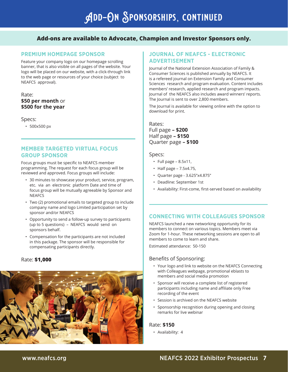#### **Add-ons are available to Advocate, Champion and Investor Sponsors only.**

#### **PREMIUM HOMEPAGE SPONSOR**

Feature your company logo on our homepage scrolling banner, that is also visible on all pages of the website. Your logo will be placed on our website, with a click-through link to the web page or resources of your choice (subject to NEAFCS approval).

#### Rate: **\$50 per month** or **\$500 for the year**

#### Specs:

• 500x500 px

#### **MEMBER TARGETED VIRTUAL FOCUS GROUP SPONSOR**

Focus groups must be specific to NEAFCS member programming. The request for each focus group will be reviewed and approved. Focus groups will include:

- 30 minutes to showcase your product, service, program, etc. via an electronic platform Date and time of focus group will be mutually agreeable by Sponsor and **NEAFCS**
- Two (2) promotional emails to targeted group to include company name and logo Limited participation set by sponsor and/or NEAFCS
- Opportunity to send a follow-up survey to participants (up to 5 questions) – NEAFCS would send on sponsors behalf.
- Compensation for the participants are not included in this package. The sponsor will be responsible for compensating participants directly.

#### Rate: **\$1,000**



#### **JOURNAL OF NEAFCS - ELECTRONIC ADVERTISEMENT**

Journal of the National Extension Association of Family & Consumer Sciences is published annually by NEAFCS. It is a refereed journal on Extension Family and Consumer Sciences research and program evaluation. Content includes members' research, applied research and program impacts. Journal of the NEAFCS also includes award winners' reports. The Journal is sent to over 2,800 members.

The Journal is available for viewing online with the option to download for print.

#### Rates: Full page **– \$200** Half page **– \$150** Quarter page **– \$100**

#### Specs:

- $\cdot$  Full page 8.5x11,
- Half page 7.5x4.75,
- Quarter page 3.625"x4.875"
- Deadline: September 1st
- Availability: First-come, first-served based on availability

#### **CONNECTING WITH COLLEAGUES SPONSOR**

NEAFCS launched a new networking opportunity for its members to connect on various topics. Members meet via Zoom for 1-hour. These networking sessions are open to all members to come to learn and share.

Estimated attendance: 50-150

#### Benefits of Sponsoring:

- Your logo and link to website on the NEAFCS Connecting with Colleagues webpage, promotional eblasts to members and social media promotion
- Sponsor will receive a complete list of registered participants including name and affiliate only Free recording of the event
- Session is archived on the NEAFCS website
- Sponsorship recognition during opening and closing remarks for live webinar

#### Rate: **\$150**

• Availability: 4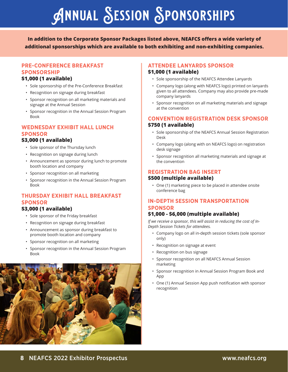# **Annual Session Sponsorships**

**In addition to the Corporate Sponsor Packages listed above, NEAFCS offers a wide variety of additional sponsorships which are available to both exhibiting and non-exhibiting companies.** 

#### **PRE-CONFERENCE BREAKFAST SPONSORSHIP**

#### **\$1,000 (1 available)**

- Sole sponsorship of the Pre-Conference Breakfast
- Recognition on signage during breakfast
- Sponsor recognition on all marketing materials and signage at the Annual Session
- Sponsor recognition in the Annual Session Program Book

#### **WEDNESDAY EXHIBIT HALL LUNCH SPONSOR**

#### **\$3,000 (1 available)**

- Sole sponsor of the Thursday lunch
- Recognition on signage during lunch
- Announcement as sponsor during lunch to promote booth location and company
- Sponsor recognition on all marketing
- Sponsor recognition in the Annual Session Program Book

#### **THURSDAY EXHIBIT HALL BREAKFAST SPONSOR**

#### **\$3,000 (1 available)**

- Sole sponsor of the Friday breakfast
- Recognition on signage during breakfast
- Announcement as sponsor during breakfast to promote booth location and company
- Sponsor recognition on all marketing
- Sponsor recognition in the Annual Session Program Book



#### **ATTENDEE LANYARDS SPONSOR \$1,000 (1 available)**

- Sole sponsorship of the NEAFCS Attendee Lanyards
- Company logo (along with NEAFCS logo) printed on lanyards given to all attendees. Company may also provide pre-made company lanyards
- Sponsor recognition on all marketing materials and signage at the convention

#### **CONVENTION REGISTRATION DESK SPONSOR \$750 (1 available)**

- Sole sponsorship of the NEAFCS Annual Session Registration Desk
- Company logo (along with on NEAFCS logo) on registration desk signage
- Sponsor recognition all marketing materials and signage at the convention

#### **REGISTRATION BAG INSERT**

#### **\$500 (multiple available)**

• One (1) marketing piece to be placed in attendee onsite conference bag

#### **IN-DEPTH SESSION TRANSPORTATION SPONSOR**

#### **\$1,000 - \$6,000 (multiple available)**

*If we receive a sponsor, this will assist in reducing the cost of In-Depth Session Tickets for attendees.* 

- Company logo on all in-depth session tickets (sole sponsor only)
- Recognition on signage at event
- Recognition on bus signage
- Sponsor recognition on all NEAFCS Annual Session marketing
- Sponsor recognition in Annual Session Program Book and App
- One (1) Annual Session App push notification with sponsor recognition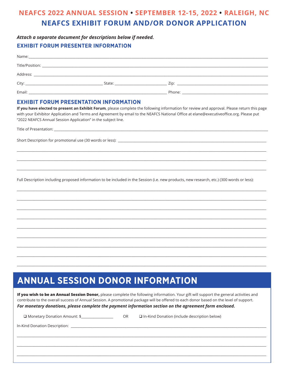## **NEAFCS 2022 ANNUAL SESSION • SEPTEMBER 12-15, 2022 • RALEIGH, NC NEAFCS EXHIBIT FORUM AND/OR DONOR APPLICATION**

#### Attach a separate document for descriptions below if needed. **EXHIBIT FORUM PRESENTER INFORMATION**

| Name:                                                                                                                                                                                                                          |                                                                                                                                                                                                                                |  |
|--------------------------------------------------------------------------------------------------------------------------------------------------------------------------------------------------------------------------------|--------------------------------------------------------------------------------------------------------------------------------------------------------------------------------------------------------------------------------|--|
|                                                                                                                                                                                                                                |                                                                                                                                                                                                                                |  |
| Address:                                                                                                                                                                                                                       |                                                                                                                                                                                                                                |  |
| City: the contract of the contract of the contract of the contract of the contract of the contract of the contract of the contract of the contract of the contract of the contract of the contract of the contract of the cont | State: will be a series of the series of the series of the series of the series of the series of the series of the series of the series of the series of the series of the series of the series of the series of the series of |  |
| Email:                                                                                                                                                                                                                         |                                                                                                                                                                                                                                |  |

#### **EXHIBIT FORUM PRESENTATION INFORMATION**

If you have elected to present an Exhibit Forum, please complete the following information for review and approval. Please return this page with your Exhibitor Application and Terms and Agreement by email to the NEAFCS National Office at elane@executiveoffice.org. Please put "2022 NEAFCS Annual Session Application" in the subject line.

Title of Presentation:

Short Description for promotional use (30 words or less):

Full Description including proposed information to be included in the Session (i.e. new products, new research, etc.) (300 words or less):

## **ANNUAL SESSION DONOR INFORMATION**

If you wish to be an Annual Session Donor, please complete the following information. Your gift will support the general activities and contribute to the overall success of Annual Session. A promotional package will be offered to each donor based on the level of support. For monetary donations, please complete the payment information section on the agreement form enclosed.

| □ Monetary Donation Amount: \$_________________ | OR. | $\Box$ In-Kind Donation (include description below) |
|-------------------------------------------------|-----|-----------------------------------------------------|
|                                                 |     |                                                     |
|                                                 |     |                                                     |
|                                                 |     |                                                     |
|                                                 |     |                                                     |
|                                                 |     |                                                     |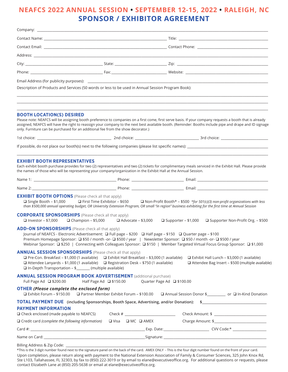## **NEAFCS 2022 ANNUAL SESSION • SEPTEMBER 12-15, 2022 • RALEIGH, NC SPONSOR / EXHIBITOR AGREEMENT**

| Description of Products and Services (50 words or less to be used in Annual Session Program Book):                                                                                                                                                                                                                                                                                                                                          |                           |                            |                                                                                                                                 |  |
|---------------------------------------------------------------------------------------------------------------------------------------------------------------------------------------------------------------------------------------------------------------------------------------------------------------------------------------------------------------------------------------------------------------------------------------------|---------------------------|----------------------------|---------------------------------------------------------------------------------------------------------------------------------|--|
|                                                                                                                                                                                                                                                                                                                                                                                                                                             |                           |                            |                                                                                                                                 |  |
| <b>BOOTH LOCATION(S) DESIRED</b><br>Please note: NEAFCS will be assigning booth preference to companies on a first come, first serve basis. If your company requests a booth that is already<br>assigned, NEAFCS will have the right to reassign your company to the next best available booth. (Reminder: Booths include pipe and drape and ID signage<br>only. Furniture can be purchased for an additional fee from the show decorator.) |                           |                            |                                                                                                                                 |  |
|                                                                                                                                                                                                                                                                                                                                                                                                                                             |                           |                            |                                                                                                                                 |  |
|                                                                                                                                                                                                                                                                                                                                                                                                                                             |                           |                            |                                                                                                                                 |  |
| <b>EXHIBIT BOOTH REPRESENTATIVES</b><br>Each exhibit booth purchase provides for two (2) representatives and two (2) tickets for complimentary meals serviced in the Exhibit Hall. Please provide<br>the names of those who will be representing your company/organization in the Exhibit Hall at the Annual Session.                                                                                                                       |                           |                            |                                                                                                                                 |  |
|                                                                                                                                                                                                                                                                                                                                                                                                                                             |                           |                            |                                                                                                                                 |  |
|                                                                                                                                                                                                                                                                                                                                                                                                                                             |                           |                            |                                                                                                                                 |  |
| <b>EXHIBIT BOOTH OPTIONS</b> (Please check all that apply)<br>$\Box$ First Time Exhibitor – \$650<br>□ Single Booth $-$ \$1,000<br>than \$500,000 annual operating budget, OR University Extension Program, OR small "in region" business exhibiting for the first time at Annual Session                                                                                                                                                   |                           |                            | $\Box$ Non-Profit Booth* – \$500 *for 501(c)(3) non-profit organizations with less                                              |  |
| <b>CORPORATE SPONSORSHIPS</b> (Please check all that apply)<br>$\Box$ Investor – \$7,000 $\Box$ Champion – \$5,000                                                                                                                                                                                                                                                                                                                          | $\Box$ Advocate – \$3,000 |                            | $\Box$ Supporter – \$1,000<br>□ Supporter Non-Profit Org. - \$500                                                               |  |
| <b>ADD-ON SPONSORSHIPS</b> (Please check all that apply)<br>Journal of NEAFCS - Electronic Advertisement: □ Full page - \$200 □ Half page - \$150 □ Quarter page - \$100<br>Premium Homepage Sponsor: □ \$50 / month -or- □ \$500 / year   Newsletter Sponsor: □ \$50 / month -or- □ \$500 / year<br>Webinar Sponsor: □ \$250   Connecting with Colleagues Sponsor: □ \$150   Member Targeted Virtual Focus Group Sponsor: □ \$1,000        |                           |                            |                                                                                                                                 |  |
| <b>ANNUAL SESSION SPONSORSHIPS</b> (Please check all that apply)<br>$\Box$ Pre-Con. Breakfast – \$1,000 (1 available) $\Box$ Exhibit Hall Breakfast – \$3,000 (1 available)<br>$\Box$ Attendee Lanyards - \$1,000 (1 available) $\Box$ Registration Desk - \$750 (1 available)<br>□ In-Depth Transportation - \$ _______ (multiple available)                                                                                               |                           |                            | $\Box$ Exhibit Hall Lunch – \$3,000 (1 available)<br>□ Attendee Bag Insert - \$500 (multiple available)                         |  |
| <b>ANNUAL SESSION PROGRAM BOOK ADVERTISEMENT (additional purchase)</b><br>Half Page Ad □ \$150.00<br>Full Page Ad $\Box$ \$200.00                                                                                                                                                                                                                                                                                                           |                           | Quarter Page Ad □ \$100.00 |                                                                                                                                 |  |
| <b>OTHER (Please complete the enclosed form)</b>                                                                                                                                                                                                                                                                                                                                                                                            |                           |                            | □ Exhibit Forum - \$150.00 □ Partner Member Exhibit Forum - \$100.00 □ Annual Session Donor \$___________ or □ In-Kind Donation |  |
| TOTAL PAYMENT DUE (including Sponsorships, Booth Space, Advertising, and/or Donation): \$____________________________                                                                                                                                                                                                                                                                                                                       |                           |                            |                                                                                                                                 |  |
| <b>PAYMENT INFORMATION</b>                                                                                                                                                                                                                                                                                                                                                                                                                  |                           |                            |                                                                                                                                 |  |
| $\Box$ Credit card <i>(complete the following information)</i> $\Box$ Visa $\Box$ MC $\Box$ AMEX                                                                                                                                                                                                                                                                                                                                            |                           |                            |                                                                                                                                 |  |
|                                                                                                                                                                                                                                                                                                                                                                                                                                             |                           |                            |                                                                                                                                 |  |
|                                                                                                                                                                                                                                                                                                                                                                                                                                             |                           |                            |                                                                                                                                 |  |
| *This is the 3 digit number found next to the signature panel on the back of the card. AMEX ONLY - This is the four digit number found on the front of your card                                                                                                                                                                                                                                                                            |                           |                            |                                                                                                                                 |  |

\*This is the 3 digit number found next to the signature panel on the back of the card. AMEX ONLY - This is the four digit number found on the front of your card. Upon completion, please return along with payment to the National Extension Association of Family & Consumer Sciences, 325 John Knox Rd, Ste L103, Tallahassee, FL 32303, by fax to (850) 222-3019 or by email to elane@executiveoffice.org. For additional questions or requests, please contact Elizabeth Lane at (850) 205-5638 or email at elane@executiveoffice.org.